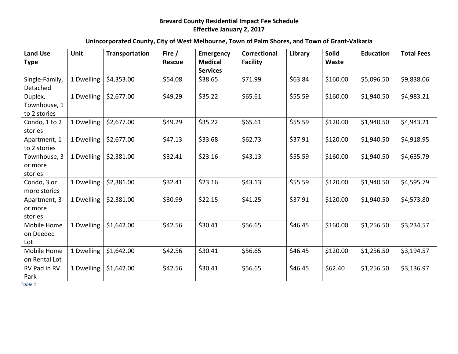#### **Brevard County Residential Impact Fee Schedule Effective January 2, 2017**

#### **Unincorporated County, City of West Melbourne, Town of Palm Shores, and Town of Grant-Valkaria**

| <b>Land Use</b><br><b>Type</b>          | <b>Unit</b> | Transportation | Fire /<br><b>Rescue</b> | <b>Emergency</b><br><b>Medical</b><br><b>Services</b> | <b>Correctional</b><br><b>Facility</b> | Library | <b>Solid</b><br>Waste | <b>Education</b> | <b>Total Fees</b> |
|-----------------------------------------|-------------|----------------|-------------------------|-------------------------------------------------------|----------------------------------------|---------|-----------------------|------------------|-------------------|
| Single-Family,<br>Detached              | 1 Dwelling  | \$4,353.00     | \$54.08                 | \$38.65                                               | \$71.99                                | \$63.84 | \$160.00              | \$5,096.50       | \$9,838.06        |
| Duplex,<br>Townhouse, 1<br>to 2 stories | 1 Dwelling  | \$2,677.00     | \$49.29                 | \$35.22                                               | \$65.61                                | \$55.59 | \$160.00              | \$1,940.50       | \$4,983.21        |
| Condo, 1 to 2<br>stories                | 1 Dwelling  | \$2,677.00     | \$49.29                 | \$35.22                                               | \$65.61                                | \$55.59 | \$120.00              | \$1,940.50       | \$4,943.21        |
| Apartment, 1<br>to 2 stories            | 1 Dwelling  | \$2,677.00     | \$47.13                 | \$33.68                                               | \$62.73                                | \$37.91 | \$120.00              | \$1,940.50       | \$4,918.95        |
| Townhouse, 3<br>or more<br>stories      | 1 Dwelling  | \$2,381.00     | \$32.41                 | \$23.16                                               | \$43.13                                | \$55.59 | \$160.00              | \$1,940.50       | \$4,635.79        |
| Condo, 3 or<br>more stories             | 1 Dwelling  | \$2,381.00     | \$32.41                 | \$23.16                                               | \$43.13                                | \$55.59 | \$120.00              | \$1,940.50       | \$4,595.79        |
| Apartment, 3<br>or more<br>stories      | 1 Dwelling  | \$2,381.00     | \$30.99                 | \$22.15                                               | \$41.25                                | \$37.91 | \$120.00              | \$1,940.50       | \$4,573.80        |
| Mobile Home<br>on Deeded<br>Lot         | 1 Dwelling  | \$1,642.00     | \$42.56                 | \$30.41                                               | \$56.65                                | \$46.45 | \$160.00              | \$1,256.50       | \$3,234.57        |
| Mobile Home<br>on Rental Lot            | 1 Dwelling  | \$1,642.00     | \$42.56                 | \$30.41                                               | \$56.65                                | \$46.45 | \$120.00              | \$1,256.50       | \$3,194.57        |
| RV Pad in RV<br>Park                    | 1 Dwelling  | \$1,642.00     | \$42.56                 | \$30.41                                               | \$56.65                                | \$46.45 | \$62.40               | \$1,256.50       | \$3,136.97        |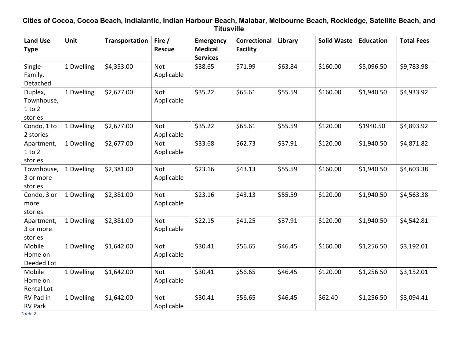#### **Cities of Cocoa, Cocoa Beach, Indialantic, Indian Harbour Beach, Malabar, Melbourne Beach, Rockledge, Satellite Beach, and Titusville**

| <b>Land Use</b><br><b>Type</b>                 | Unit       | <b>Transportation</b> | Fire /<br><b>Rescue</b>  | Emergency<br><b>Medical</b><br><b>Services</b> | <b>Correctional</b><br><b>Facility</b> | Library | <b>Solid Waste</b> | <b>Education</b> | <b>Total Fees</b> |
|------------------------------------------------|------------|-----------------------|--------------------------|------------------------------------------------|----------------------------------------|---------|--------------------|------------------|-------------------|
| Single-<br>Family,<br>Detached                 | 1 Dwelling | \$4,353.00            | <b>Not</b><br>Applicable | \$38.65                                        | \$71.99                                | \$63.84 | \$160.00           | \$5,096.50       | \$9,783.98        |
| Duplex,<br>Townhouse,<br>$1$ to $2$<br>stories | 1 Dwelling | \$2,677.00            | <b>Not</b><br>Applicable | \$35.22                                        | \$65.61                                | \$55.59 | \$160.00           | \$1,940.50       | \$4,933.92        |
| Condo, 1 to<br>2 stories                       | 1 Dwelling | \$2,677.00            | <b>Not</b><br>Applicable | \$35.22                                        | \$65.61                                | \$55.59 | \$120.00           | \$1940.50        | \$4,893.92        |
| Apartment,<br>1 to 2<br>stories                | 1 Dwelling | \$2,677.00            | <b>Not</b><br>Applicable | \$33.68                                        | \$62.73                                | \$37.91 | \$120.00           | \$1,940.50       | \$4,871.82        |
| Townhouse,<br>3 or more<br>stories             | 1 Dwelling | \$2,381.00            | <b>Not</b><br>Applicable | \$23.16                                        | \$43.13                                | \$55.59 | \$160.00           | \$1,940.50       | \$4,603.38        |
| Condo, 3 or<br>more<br>stories                 | 1 Dwelling | \$2,381.00            | Not<br>Applicable        | \$23.16                                        | \$43.13                                | \$55.59 | \$120.00           | \$1,940.50       | \$4,563.38        |
| Apartment,<br>3 or more<br>stories             | 1 Dwelling | \$2,381.00            | Not<br>Applicable        | \$22.15                                        | \$41.25                                | \$37.91 | \$120.00           | \$1,940.50       | \$4,542.81        |
| Mobile<br>Home on<br>Deeded Lot                | 1 Dwelling | \$1,642.00            | Not<br>Applicable        | \$30.41                                        | \$56.65                                | \$46.45 | \$160.00           | \$1,256.50       | \$3,192.01        |
| Mobile<br>Home on<br>Rental Lot                | 1 Dwelling | \$1,642.00            | Not<br>Applicable        | \$30.41                                        | \$56.65                                | \$46.45 | \$120.00           | \$1,256.50       | \$3,152.01        |
| RV Pad in<br><b>RV Park</b>                    | 1 Dwelling | \$1,642.00            | <b>Not</b><br>Applicable | \$30.41                                        | \$56.65                                | \$46.45 | \$62.40            | \$1,256.50       | \$3,094.41        |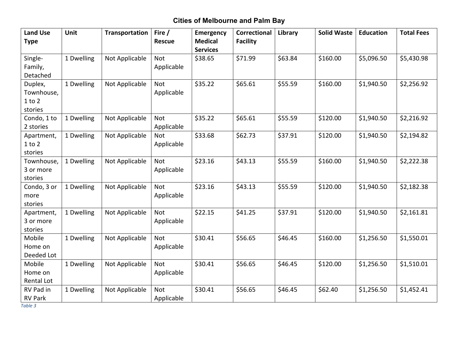# **Cities of Melbourne and Palm Bay**

| <b>Land Use</b><br><b>Type</b> | Unit       | <b>Transportation</b> | Fire /<br><b>Rescue</b> | <b>Emergency</b><br><b>Medical</b> | <b>Correctional</b><br><b>Facility</b> | Library | <b>Solid Waste</b> | <b>Education</b> | <b>Total Fees</b> |
|--------------------------------|------------|-----------------------|-------------------------|------------------------------------|----------------------------------------|---------|--------------------|------------------|-------------------|
|                                |            |                       |                         | <b>Services</b>                    |                                        |         |                    |                  |                   |
| Single-                        | 1 Dwelling | Not Applicable        | Not                     | \$38.65                            | \$71.99                                | \$63.84 | \$160.00           | \$5,096.50       | \$5,430.98        |
| Family,                        |            |                       | Applicable              |                                    |                                        |         |                    |                  |                   |
| Detached                       |            |                       |                         |                                    |                                        |         |                    |                  |                   |
| Duplex,                        | 1 Dwelling | Not Applicable        | Not                     | \$35.22                            | \$65.61                                | \$55.59 | \$160.00           | \$1,940.50       | \$2,256.92        |
| Townhouse,<br>1 to 2           |            |                       | Applicable              |                                    |                                        |         |                    |                  |                   |
| stories                        |            |                       |                         |                                    |                                        |         |                    |                  |                   |
| Condo, 1 to                    | 1 Dwelling | Not Applicable        | <b>Not</b>              | \$35.22                            | \$65.61                                | \$55.59 | \$120.00           | \$1,940.50       | \$2,216.92        |
| 2 stories                      |            |                       | Applicable              |                                    |                                        |         |                    |                  |                   |
| Apartment,                     | 1 Dwelling | Not Applicable        | Not                     | \$33.68                            | \$62.73                                | \$37.91 | \$120.00           | \$1,940.50       | \$2,194.82        |
| $1$ to $2$                     |            |                       | Applicable              |                                    |                                        |         |                    |                  |                   |
| stories                        |            |                       |                         |                                    |                                        |         |                    |                  |                   |
| Townhouse,                     | 1 Dwelling | Not Applicable        | Not                     | \$23.16                            | \$43.13                                | \$55.59 | \$160.00           | \$1,940.50       | \$2,222.38        |
| 3 or more                      |            |                       | Applicable              |                                    |                                        |         |                    |                  |                   |
| stories<br>Condo, 3 or         | 1 Dwelling | Not Applicable        | Not                     | \$23.16                            | \$43.13                                | \$55.59 | \$120.00           | \$1,940.50       | \$2,182.38        |
| more                           |            |                       | Applicable              |                                    |                                        |         |                    |                  |                   |
| stories                        |            |                       |                         |                                    |                                        |         |                    |                  |                   |
| Apartment,                     | 1 Dwelling | Not Applicable        | <b>Not</b>              | \$22.15                            | \$41.25                                | \$37.91 | \$120.00           | \$1,940.50       | \$2,161.81        |
| 3 or more                      |            |                       | Applicable              |                                    |                                        |         |                    |                  |                   |
| stories                        |            |                       |                         |                                    |                                        |         |                    |                  |                   |
| Mobile                         | 1 Dwelling | Not Applicable        | Not                     | \$30.41                            | \$56.65                                | \$46.45 | \$160.00           | \$1,256.50       | \$1,550.01        |
| Home on                        |            |                       | Applicable              |                                    |                                        |         |                    |                  |                   |
| Deeded Lot                     |            |                       |                         |                                    |                                        |         |                    |                  |                   |
| Mobile                         | 1 Dwelling | Not Applicable        | Not                     | \$30.41                            | \$56.65                                | \$46.45 | \$120.00           | \$1,256.50       | \$1,510.01        |
| Home on                        |            |                       | Applicable              |                                    |                                        |         |                    |                  |                   |
| Rental Lot                     |            |                       |                         |                                    |                                        |         |                    |                  |                   |
| RV Pad in                      | 1 Dwelling | Not Applicable        | Not                     | \$30.41                            | \$56.65                                | \$46.45 | \$62.40            | \$1,256.50       | \$1,452.41        |
| <b>RV Park</b>                 |            |                       | Applicable              |                                    |                                        |         |                    |                  |                   |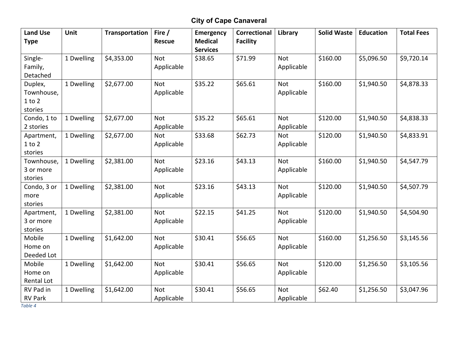# **City of Cape Canaveral**

| <b>Land Use</b>        | Unit       | <b>Transportation</b> | Fire /                   | <b>Emergency</b>                  | <b>Correctional</b> | Library                  | <b>Solid Waste</b> | <b>Education</b> | <b>Total Fees</b> |
|------------------------|------------|-----------------------|--------------------------|-----------------------------------|---------------------|--------------------------|--------------------|------------------|-------------------|
| <b>Type</b>            |            |                       | <b>Rescue</b>            | <b>Medical</b><br><b>Services</b> | <b>Facility</b>     |                          |                    |                  |                   |
| Single-                | 1 Dwelling | \$4,353.00            | <b>Not</b>               | \$38.65                           | \$71.99             | Not                      | \$160.00           | \$5,096.50       | \$9,720.14        |
| Family,                |            |                       | Applicable               |                                   |                     | Applicable               |                    |                  |                   |
| Detached               |            |                       |                          |                                   |                     |                          |                    |                  |                   |
| Duplex,<br>Townhouse,  | 1 Dwelling | \$2,677.00            | <b>Not</b><br>Applicable | \$35.22                           | \$65.61             | <b>Not</b><br>Applicable | \$160.00           | \$1,940.50       | \$4,878.33        |
| $1$ to $2$             |            |                       |                          |                                   |                     |                          |                    |                  |                   |
| stories                |            |                       |                          |                                   |                     |                          |                    |                  |                   |
| Condo, 1 to            | 1 Dwelling | \$2,677.00            | Not                      | \$35.22                           | \$65.61             | Not                      | \$120.00           | \$1,940.50       | \$4,838.33        |
| 2 stories              |            |                       | Applicable               |                                   |                     | Applicable               |                    |                  |                   |
| Apartment,             | 1 Dwelling | \$2,677.00            | <b>Not</b>               | \$33.68                           | \$62.73             | <b>Not</b>               | \$120.00           | \$1,940.50       | \$4,833.91        |
| $1$ to $2$             |            |                       | Applicable               |                                   |                     | Applicable               |                    |                  |                   |
| stories                |            |                       |                          |                                   |                     |                          |                    |                  |                   |
| Townhouse,             | 1 Dwelling | \$2,381.00            | Not                      | \$23.16                           | \$43.13             | <b>Not</b>               | \$160.00           | \$1,940.50       | \$4,547.79        |
| 3 or more              |            |                       | Applicable               |                                   |                     | Applicable               |                    |                  |                   |
| stories<br>Condo, 3 or | 1 Dwelling | \$2,381.00            | <b>Not</b>               | \$23.16                           | \$43.13             | <b>Not</b>               | \$120.00           | \$1,940.50       | \$4,507.79        |
| more                   |            |                       | Applicable               |                                   |                     | Applicable               |                    |                  |                   |
| stories                |            |                       |                          |                                   |                     |                          |                    |                  |                   |
| Apartment,             | 1 Dwelling | \$2,381.00            | <b>Not</b>               | \$22.15                           | \$41.25             | Not                      | \$120.00           | \$1,940.50       | \$4,504.90        |
| 3 or more              |            |                       | Applicable               |                                   |                     | Applicable               |                    |                  |                   |
| stories                |            |                       |                          |                                   |                     |                          |                    |                  |                   |
| Mobile                 | 1 Dwelling | \$1,642.00            | <b>Not</b>               | \$30.41                           | \$56.65             | Not                      | \$160.00           | \$1,256.50       | \$3,145.56        |
| Home on                |            |                       | Applicable               |                                   |                     | Applicable               |                    |                  |                   |
| Deeded Lot             |            |                       |                          |                                   |                     |                          |                    |                  |                   |
| Mobile                 | 1 Dwelling | \$1,642.00            | <b>Not</b>               | \$30.41                           | \$56.65             | Not                      | \$120.00           | \$1,256.50       | \$3,105.56        |
| Home on                |            |                       | Applicable               |                                   |                     | Applicable               |                    |                  |                   |
| Rental Lot             |            |                       |                          |                                   |                     |                          |                    |                  |                   |
| RV Pad in              | 1 Dwelling | \$1,642.00            | <b>Not</b>               | \$30.41                           | \$56.65             | <b>Not</b>               | \$62.40            | \$1,256.50       | \$3,047.96        |
| <b>RV Park</b>         |            |                       | Applicable               |                                   |                     | Applicable               |                    |                  |                   |